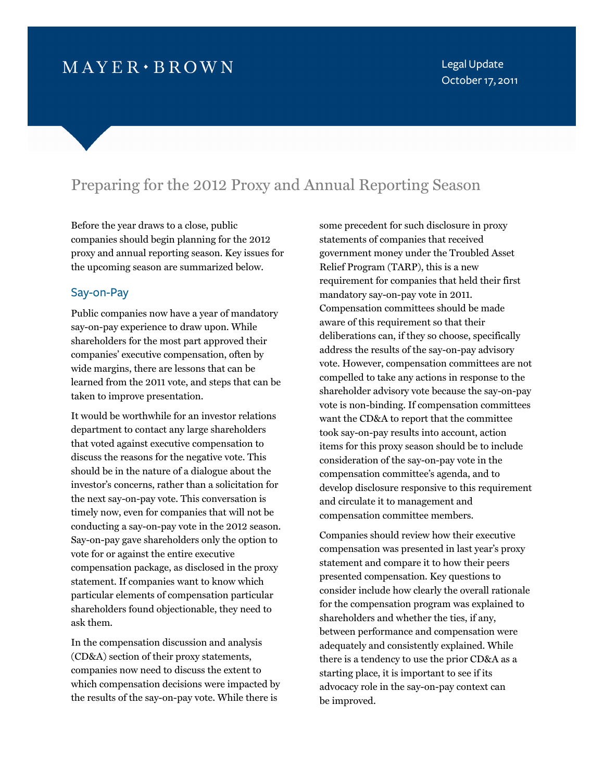# $M$  A Y E R  $\cdot$  B R O W N

Legal Update October 17, 2011

## Preparing for the 2012 Proxy and Annual Reporting Season

Before the year draws to a close, public companies should begin planning for the 2012 proxy and annual reporting season. Key issues for the upcoming season are summarized below.

#### Say-on-Pay

Public companies now have a year of mandatory say-on-pay experience to draw upon. While shareholders for the most part approved their companies' executive compensation, often by wide margins, there are lessons that can be learned from the 2011 vote, and steps that can be taken to improve presentation.

It would be worthwhile for an investor relations department to contact any large shareholders that voted against executive compensation to discuss the reasons for the negative vote. This should be in the nature of a dialogue about the investor's concerns, rather than a solicitation for the next say-on-pay vote. This conversation is timely now, even for companies that will not be conducting a say-on-pay vote in the 2012 season. Say-on-pay gave shareholders only the option to vote for or against the entire executive compensation package, as disclosed in the proxy statement. If companies want to know which particular elements of compensation particular shareholders found objectionable, they need to ask them.

In the compensation discussion and analysis (CD&A) section of their proxy statements, companies now need to discuss the extent to which compensation decisions were impacted by the results of the say-on-pay vote. While there is

some precedent for such disclosure in proxy statements of companies that received government money under the Troubled Asset Relief Program (TARP), this is a new requirement for companies that held their first mandatory say-on-pay vote in 2011. Compensation committees should be made aware of this requirement so that their deliberations can, if they so choose, specifically address the results of the say-on-pay advisory vote. However, compensation committees are not compelled to take any actions in response to the shareholder advisory vote because the say-on-pay vote is non-binding. If compensation committees want the CD&A to report that the committee took say-on-pay results into account, action items for this proxy season should be to include consideration of the say-on-pay vote in the compensation committee's agenda, and to develop disclosure responsive to this requirement and circulate it to management and compensation committee members.

Companies should review how their executive compensation was presented in last year's proxy statement and compare it to how their peers presented compensation. Key questions to consider include how clearly the overall rationale for the compensation program was explained to shareholders and whether the ties, if any, between performance and compensation were adequately and consistently explained. While there is a tendency to use the prior CD&A as a starting place, it is important to see if its advocacy role in the say-on-pay context can be improved.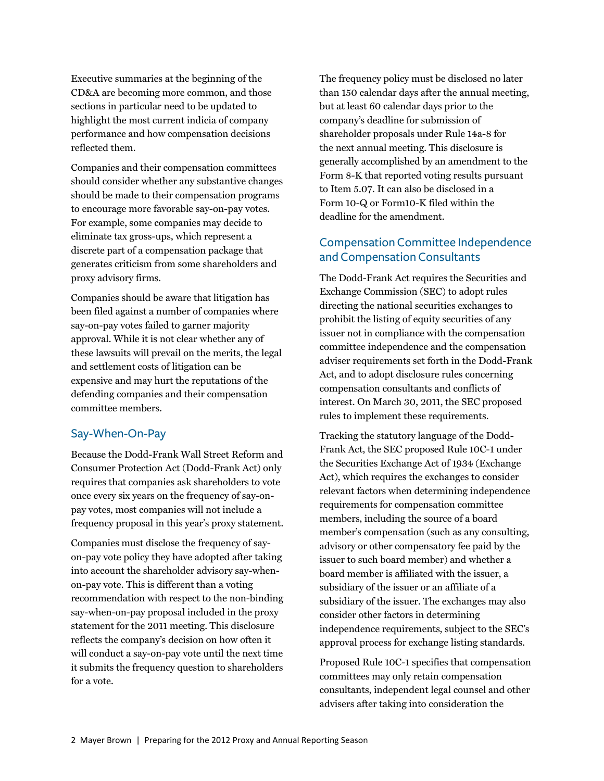Executive summaries at the beginning of the CD&A are becoming more common, and those sections in particular need to be updated to highlight the most current indicia of company performance and how compensation decisions reflected them.

Companies and their compensation committees should consider whether any substantive changes should be made to their compensation programs to encourage more favorable say-on-pay votes. For example, some companies may decide to eliminate tax gross-ups, which represent a discrete part of a compensation package that generates criticism from some shareholders and proxy advisory firms.

Companies should be aware that litigation has been filed against a number of companies where say-on-pay votes failed to garner majority approval. While it is not clear whether any of these lawsuits will prevail on the merits, the legal and settlement costs of litigation can be expensive and may hurt the reputations of the defending companies and their compensation committee members.

## Say-When-On-Pay

Because the Dodd-Frank Wall Street Reform and Consumer Protection Act (Dodd-Frank Act) only requires that companies ask shareholders to vote once every six years on the frequency of say-onpay votes, most companies will not include a frequency proposal in this year's proxy statement.

Companies must disclose the frequency of sayon-pay vote policy they have adopted after taking into account the shareholder advisory say-whenon-pay vote. This is different than a voting recommendation with respect to the non-binding say-when-on-pay proposal included in the proxy statement for the 2011 meeting. This disclosure reflects the company's decision on how often it will conduct a say-on-pay vote until the next time it submits the frequency question to shareholders for a vote.

The frequency policy must be disclosed no later than 150 calendar days after the annual meeting, but at least 60 calendar days prior to the company's deadline for submission of shareholder proposals under Rule 14a-8 for the next annual meeting. This disclosure is generally accomplished by an amendment to the Form 8-K that reported voting results pursuant to Item 5.07. It can also be disclosed in a Form 10-Q or Form10-K filed within the deadline for the amendment.

## Compensation Committee Independence and Compensation Consultants

The Dodd-Frank Act requires the Securities and Exchange Commission (SEC) to adopt rules directing the national securities exchanges to prohibit the listing of equity securities of any issuer not in compliance with the compensation committee independence and the compensation adviser requirements set forth in the Dodd-Frank Act, and to adopt disclosure rules concerning compensation consultants and conflicts of interest. On March 30, 2011, the SEC proposed rules to implement these requirements.

Tracking the statutory language of the Dodd-Frank Act, the SEC proposed Rule 10C-1 under the Securities Exchange Act of 1934 (Exchange Act), which requires the exchanges to consider relevant factors when determining independence requirements for compensation committee members, including the source of a board member's compensation (such as any consulting, advisory or other compensatory fee paid by the issuer to such board member) and whether a board member is affiliated with the issuer, a subsidiary of the issuer or an affiliate of a subsidiary of the issuer. The exchanges may also consider other factors in determining independence requirements, subject to the SEC's approval process for exchange listing standards.

Proposed Rule 10C-1 specifies that compensation committees may only retain compensation consultants, independent legal counsel and other advisers after taking into consideration the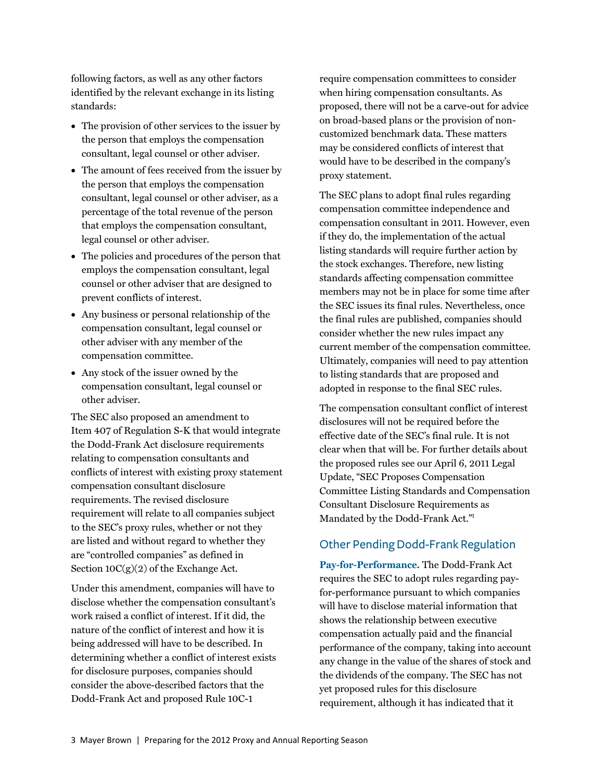following factors, as well as any other factors identified by the relevant exchange in its listing standards:

- The provision of other services to the issuer by the person that employs the compensation consultant, legal counsel or other adviser.
- The amount of fees received from the issuer by the person that employs the compensation consultant, legal counsel or other adviser, as a percentage of the total revenue of the person that employs the compensation consultant, legal counsel or other adviser.
- The policies and procedures of the person that employs the compensation consultant, legal counsel or other adviser that are designed to prevent conflicts of interest.
- Any business or personal relationship of the compensation consultant, legal counsel or other adviser with any member of the compensation committee.
- Any stock of the issuer owned by the compensation consultant, legal counsel or other adviser.

The SEC also proposed an amendment to Item 407 of Regulation S-K that would integrate the Dodd-Frank Act disclosure requirements relating to compensation consultants and conflicts of interest with existing proxy statement compensation consultant disclosure requirements. The revised disclosure requirement will relate to all companies subject to the SEC's proxy rules, whether or not they are listed and without regard to whether they are "controlled companies" as defined in Section 10C(g)(2) of the Exchange Act.

Under this amendment, companies will have to disclose whether the compensation consultant's work raised a conflict of interest. If it did, the nature of the conflict of interest and how it is being addressed will have to be described. In determining whether a conflict of interest exists for disclosure purposes, companies should consider the above-described factors that the Dodd-Frank Act and proposed Rule 10C-1

require compensation committees to consider when hiring compensation consultants. As proposed, there will not be a carve-out for advice on broad-based plans or the provision of noncustomized benchmark data. These matters may be considered conflicts of interest that would have to be described in the company's proxy statement.

The SEC plans to adopt final rules regarding compensation committee independence and compensation consultant in 2011. However, even if they do, the implementation of the actual listing standards will require further action by the stock exchanges. Therefore, new listing standards affecting compensation committee members may not be in place for some time after the SEC issues its final rules. Nevertheless, once the final rules are published, companies should consider whether the new rules impact any current member of the compensation committee. Ultimately, companies will need to pay attention to listing standards that are proposed and adopted in response to the final SEC rules.

The compensation consultant conflict of interest disclosures will not be required before the effective date of the SEC's final rule. It is not clear when that will be. For further details about the proposed rules see our April 6, 2011 Legal Update, "SEC Proposes Compensation Committee Listing Standards and Compensation Consultant Disclosure Requirem[ents as](#page-6-0)  Mandated by the Dodd-Frank Act."<sup>1</sup>

## Other Pending Dodd-Frank Regulation

**Pay-for-Performance.** The Dodd-Frank Act requires the SEC to adopt rules regarding payfor-performance pursuant to which companies will have to disclose material information that shows the relationship between executive compensation actually paid and the financial performance of the company, taking into account any change in the value of the shares of stock and the dividends of the company. The SEC has not yet proposed rules for this disclosure requirement, although it has indicated that it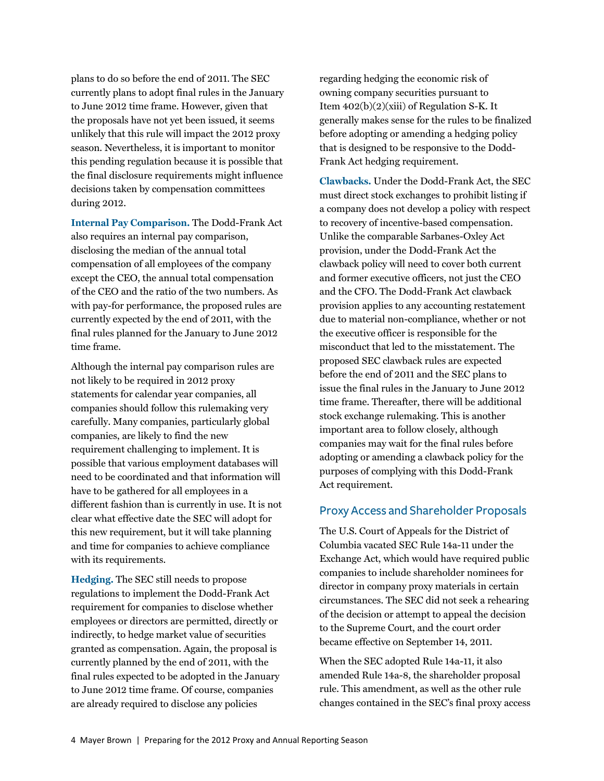plans to do so before the end of 2011. The SEC currently plans to adopt final rules in the January to June 2012 time frame. However, given that the proposals have not yet been issued, it seems unlikely that this rule will impact the 2012 proxy season. Nevertheless, it is important to monitor this pending regulation because it is possible that the final disclosure requirements might influence decisions taken by compensation committees during 2012.

**Internal Pay Comparison.** The Dodd-Frank Act also requires an internal pay comparison, disclosing the median of the annual total compensation of all employees of the company except the CEO, the annual total compensation of the CEO and the ratio of the two numbers. As with pay-for performance, the proposed rules are currently expected by the end of 2011, with the final rules planned for the January to June 2012 time frame.

Although the internal pay comparison rules are not likely to be required in 2012 proxy statements for calendar year companies, all companies should follow this rulemaking very carefully. Many companies, particularly global companies, are likely to find the new requirement challenging to implement. It is possible that various employment databases will need to be coordinated and that information will have to be gathered for all employees in a different fashion than is currently in use. It is not clear what effective date the SEC will adopt for this new requirement, but it will take planning and time for companies to achieve compliance with its requirements.

**Hedging.** The SEC still needs to propose regulations to implement the Dodd-Frank Act requirement for companies to disclose whether employees or directors are permitted, directly or indirectly, to hedge market value of securities granted as compensation. Again, the proposal is currently planned by the end of 2011, with the final rules expected to be adopted in the January to June 2012 time frame. Of course, companies are already required to disclose any policies

regarding hedging the economic risk of owning company securities pursuant to Item 402(b)(2)(xiii) of Regulation S-K. It generally makes sense for the rules to be finalized before adopting or amending a hedging policy that is designed to be responsive to the Dodd-Frank Act hedging requirement.

**Clawbacks.** Under the Dodd-Frank Act, the SEC must direct stock exchanges to prohibit listing if a company does not develop a policy with respect to recovery of incentive-based compensation. Unlike the comparable Sarbanes-Oxley Act provision, under the Dodd-Frank Act the clawback policy will need to cover both current and former executive officers, not just the CEO and the CFO. The Dodd-Frank Act clawback provision applies to any accounting restatement due to material non-compliance, whether or not the executive officer is responsible for the misconduct that led to the misstatement. The proposed SEC clawback rules are expected before the end of 2011 and the SEC plans to issue the final rules in the January to June 2012 time frame. Thereafter, there will be additional stock exchange rulemaking. This is another important area to follow closely, although companies may wait for the final rules before adopting or amending a clawback policy for the purposes of complying with this Dodd-Frank Act requirement.

#### Proxy Access and Shareholder Proposals

The U.S. Court of Appeals for the District of Columbia vacated SEC Rule 14a-11 under the Exchange Act, which would have required public companies to include shareholder nominees for director in company proxy materials in certain circumstances. The SEC did not seek a rehearing of the decision or attempt to appeal the decision to the Supreme Court, and the court order became effective on September 14, 2011.

When the SEC adopted Rule 14a-11, it also amended Rule 14a-8, the shareholder proposal rule. This amendment, as well as the other rule changes contained in the SEC's final proxy access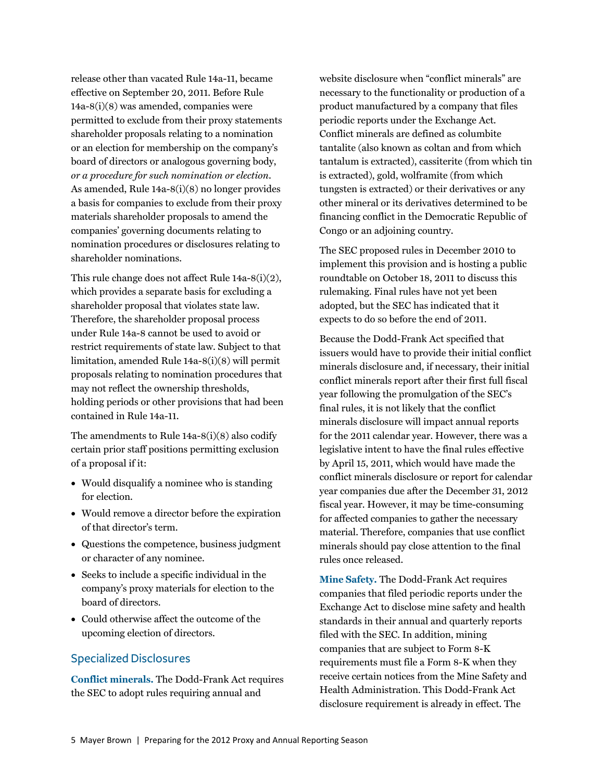release other than vacated Rule 14a-11, became effective on September 20, 2011. Before Rule 14a-8(i)(8) was amended, companies were permitted to exclude from their proxy statements shareholder proposals relating to a nomination or an election for membership on the company's board of directors or analogous governing body, *or a procedure for such nomination or election*. As amended, Rule 14a-8(i)(8) no longer provides a basis for companies to exclude from their proxy materials shareholder proposals to amend the companies' governing documents relating to nomination procedures or disclosures relating to shareholder nominations.

This rule change does not affect Rule 14a-8(i)(2), which provides a separate basis for excluding a shareholder proposal that violates state law. Therefore, the shareholder proposal process under Rule 14a-8 cannot be used to avoid or restrict requirements of state law. Subject to that limitation, amended Rule 14a-8(i)(8) will permit proposals relating to nomination procedures that may not reflect the ownership thresholds, holding periods or other provisions that had been contained in Rule 14a-11.

The amendments to Rule 14a-8(i)(8) also codify certain prior staff positions permitting exclusion of a proposal if it:

- Would disqualify a nominee who is standing for election.
- Would remove a director before the expiration of that director's term.
- Questions the competence, business judgment or character of any nominee.
- Seeks to include a specific individual in the company's proxy materials for election to the board of directors.
- Could otherwise affect the outcome of the upcoming election of directors.

#### Specialized Disclosures

**Conflict minerals.** The Dodd-Frank Act requires the SEC to adopt rules requiring annual and

website disclosure when "conflict minerals" are necessary to the functionality or production of a product manufactured by a company that files periodic reports under the Exchange Act. Conflict minerals are defined as columbite tantalite (also known as coltan and from which tantalum is extracted), cassiterite (from which tin is extracted), gold, wolframite (from which tungsten is extracted) or their derivatives or any other mineral or its derivatives determined to be financing conflict in the Democratic Republic of Congo or an adjoining country.

The SEC proposed rules in December 2010 to implement this provision and is hosting a public roundtable on October 18, 2011 to discuss this rulemaking. Final rules have not yet been adopted, but the SEC has indicated that it expects to do so before the end of 2011.

Because the Dodd-Frank Act specified that issuers would have to provide their initial conflict minerals disclosure and, if necessary, their initial conflict minerals report after their first full fiscal year following the promulgation of the SEC's final rules, it is not likely that the conflict minerals disclosure will impact annual reports for the 2011 calendar year. However, there was a legislative intent to have the final rules effective by April 15, 2011, which would have made the conflict minerals disclosure or report for calendar year companies due after the December 31, 2012 fiscal year. However, it may be time-consuming for affected companies to gather the necessary material. Therefore, companies that use conflict minerals should pay close attention to the final rules once released.

**Mine Safety.** The Dodd-Frank Act requires companies that filed periodic reports under the Exchange Act to disclose mine safety and health standards in their annual and quarterly reports filed with the SEC. In addition, mining companies that are subject to Form 8-K requirements must file a Form 8-K when they receive certain notices from the Mine Safety and Health Administration. This Dodd-Frank Act disclosure requirement is already in effect. The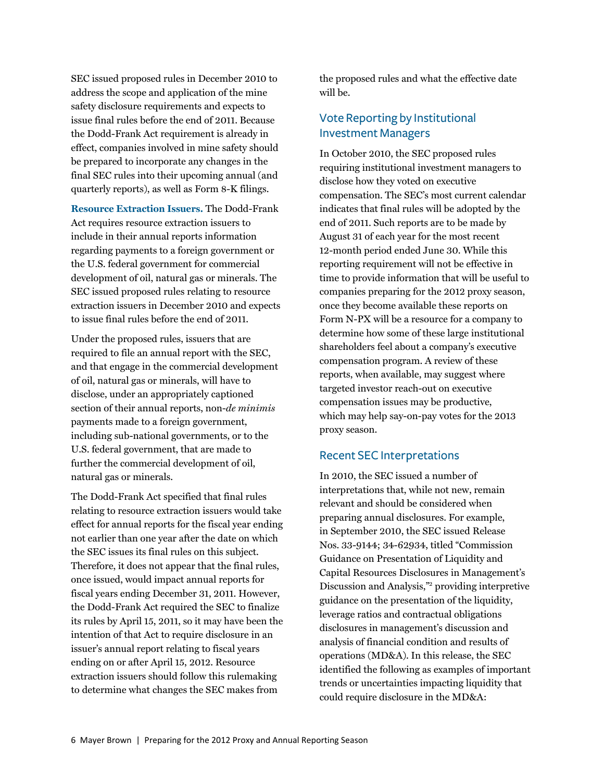SEC issued proposed rules in December 2010 to address the scope and application of the mine safety disclosure requirements and expects to issue final rules before the end of 2011. Because the Dodd-Frank Act requirement is already in effect, companies involved in mine safety should be prepared to incorporate any changes in the final SEC rules into their upcoming annual (and quarterly reports), as well as Form 8-K filings.

**Resource Extraction Issuers.** The Dodd-Frank Act requires resource extraction issuers to include in their annual reports information regarding payments to a foreign government or the U.S. federal government for commercial development of oil, natural gas or minerals. The SEC issued proposed rules relating to resource extraction issuers in December 2010 and expects to issue final rules before the end of 2011.

Under the proposed rules, issuers that are required to file an annual report with the SEC, and that engage in the commercial development of oil, natural gas or minerals, will have to disclose, under an appropriately captioned section of their annual reports, non-*de minimis* payments made to a foreign government, including sub-national governments, or to the U.S. federal government, that are made to further the commercial development of oil, natural gas or minerals.

The Dodd-Frank Act specified that final rules relating to resource extraction issuers would take effect for annual reports for the fiscal year ending not earlier than one year after the date on which the SEC issues its final rules on this subject. Therefore, it does not appear that the final rules, once issued, would impact annual reports for fiscal years ending December 31, 2011. However, the Dodd-Frank Act required the SEC to finalize its rules by April 15, 2011, so it may have been the intention of that Act to require disclosure in an issuer's annual report relating to fiscal years ending on or after April 15, 2012. Resource extraction issuers should follow this rulemaking to determine what changes the SEC makes from

the proposed rules and what the effective date will be.

## Vote Reporting by Institutional Investment Managers

In October 2010, the SEC proposed rules requiring institutional investment managers to disclose how they voted on executive compensation. The SEC's most current calendar indicates that final rules will be adopted by the end of 2011. Such reports are to be made by August 31 of each year for the most recent 12-month period ended June 30. While this reporting requirement will not be effective in time to provide information that will be useful to companies preparing for the 2012 proxy season, once they become available these reports on Form N-PX will be a resource for a company to determine how some of these large institutional shareholders feel about a company's executive compensation program. A review of these reports, when available, may suggest where targeted investor reach-out on executive compensation issues may be productive, which may help say-on-pay votes for the 2013 proxy season.

#### Recent SEC Interpretations

In 2010, the SEC issued a number of interpretations that, while not new, remain relevant and should be considered when preparing annual disclosures. For example, in September 2010, the SEC issued Release Nos. 33-9144; 34-62934, titled "Commission Guidance on Presentation of Liquidity and Capital Resources Disclosures in Management's Discussion and Analys[is,"2](#page-6-0) providing interpretive guidance on the presentation of the liquidity, leverage ratios and contractual obligations disclosures in management's discussion and analysis of financial condition and results of operations (MD&A). In this release, the SEC identified the following as examples of important trends or uncertainties impacting liquidity that could require disclosure in the MD&A: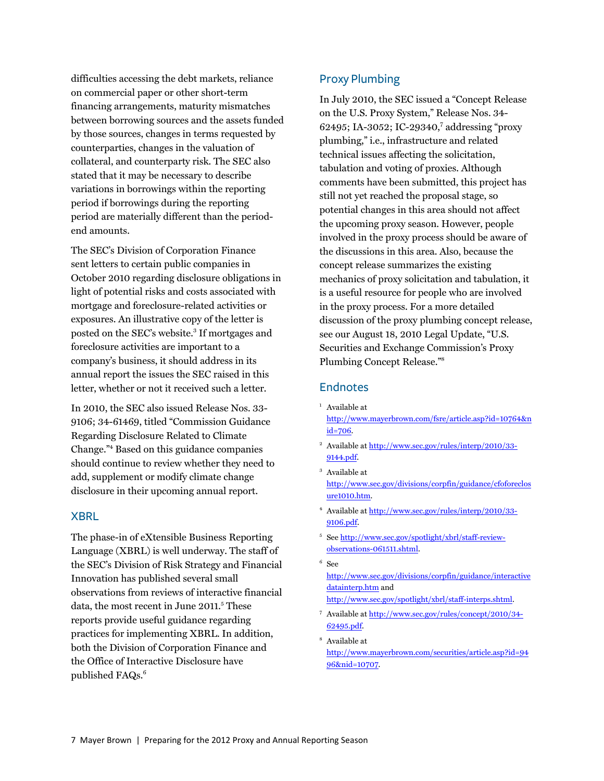<span id="page-6-0"></span>difficulties accessing the debt markets, reliance on commercial paper or other short-term financing arrangements, maturity mismatches between borrowing sources and the assets funded by those sources, changes in terms requested by counterparties, changes in the valuation of collateral, and counterparty risk. The SEC also stated that it may be necessary to describe variations in borrowings within the reporting period if borrowings during the reporting period are materially different than the periodend amounts.

The SEC's Division of Corporation Finance sent letters to certain public companies in October 2010 regarding disclosure obligations in light of potential risks and costs associated with mortgage and foreclosure-related activities or exposures. An illustrative copy of the letter is posted on the SEC's website.<sup>3</sup> If mortgages and foreclosure activities are important to a company's business, it should address in its annual report the issues the SEC raised in this letter, whether or not it received such a letter.

In 2010, the SEC also issued Release Nos. 33- 9106; 34-61469, titled "Commission Guidance Regarding Disclosure Related to Climate Change."4 Based on this guidance companies should continue to review whether they need to add, supplement or modify climate change disclosure in their upcoming annual report.

#### XBRL

The phase-in of eXtensible Business Reporting Language (XBRL) is well underway. The staff of the SEC's Division of Risk Strategy and Financial Innovation has published several small observations from reviews of interactive financial data, the most recent in June 2011.<sup>5</sup> These reports provide useful guidance regarding practices for implementing XBRL. In addition, both the Division of Corporation Finance and the Office of Interactive Disclosure have published FAQs.<sup>6</sup>

#### Proxy Plumbing

In July 2010, the SEC issued a "Concept Release on the U.S. Proxy System," Release Nos. 34- 62495; IA-3052; IC-29340,7 addressing "proxy plumbing," i.e., infrastructure and related technical issues affecting the solicitation, tabulation and voting of proxies. Although comments have been submitted, this project has still not yet reached the proposal stage, so potential changes in this area should not affect the upcoming proxy season. However, people involved in the proxy process should be aware of the discussions in this area. Also, because the concept release summarizes the existing mechanics of proxy solicitation and tabulation, it is a useful resource for people who are involved in the proxy process. For a more detailed discussion of the proxy plumbing concept release, see our August 18, 2010 Legal Update, "U.S. Securities and Exchange Commission's Proxy Plumbing Concept Release."8

#### **Endnotes**

- <sup>1</sup> Available at [http://www.mayerbrown.com/fsre/article.asp?id=10764&n](http://www.mayerbrown.com/fsre/article.asp?id=10764&nid=706) id=706.
- <sup>2</sup> [Available at http://www.sec.gov/rules/interp/2010/33-](http://www.sec.gov/rules/interp/2010/33-9144.pdf) 9144.pdf.
- 3 Available at [http://www.sec.gov/divisions/corpfin/guidance/cfoforeclos](http://www.sec.gov/divisions/corpfin/guidance/cfoforeclosure1010.htm) ure1010.htm.
- <sup>4</sup> [Available at http://www.sec.gov/rules/interp/2010/33-](http://www.sec.gov/rules/interp/2010/33-9106.pdf) 9106.pdf.
- <sup>5</sup> [See http://www.sec.gov/spotlight/xbrl/staff-review](http://www.sec.gov/spotlight/xbrl/staff-review-observations-061511.shtml)observations-061511.shtml.
- 6 See [http://www.sec.gov/divisions/corpfin/guidance/interactive](http://www.sec.gov/divisions/corpfin/guidance/interactivedatainterp.htm) datainterp.htm and [http://www.sec.gov/spotlight/xbrl/staff-interps.shtml.](http://www.sec.gov/spotlight/xbrl/staff-interps.shtml)
- 7  [Available at http://www.sec.gov/rules/concept/2010/34-](http://www.sec.gov/rules/concept/2010/34-62495.pdf) 62495.pdf.
- 8 Available at [http://www.mayerbrown.com/securities/article.asp?id=94](http://www.mayerbrown.com/securities/article.asp?id=9496&nid=10707) 96&nid=10707.